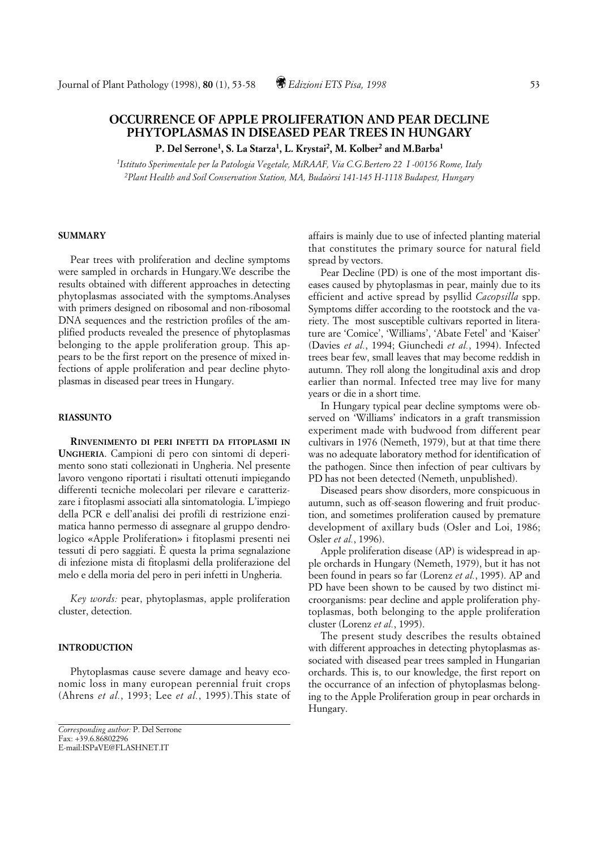# **OCCURRENCE OF APPLE PROLIFERATION AND PEAR DECLINE PHYTOPLASMAS IN DISEASED PEAR TREES IN HUNGARY**

**P. Del Serrone1, S. La Starza1, L. Krystai2, M. Kolber2 and M.Barba1**

*1Istituto Sperimentale per la Patologia Vegetale, MiRAAF, Via C.G.Bertero 22 I -00156 Rome, Italy 2Plant Health and Soil Conservation Station, MA, Budaòrsi 141-145 H-1118 Budapest, Hungary*

## **SUMMARY**

Pear trees with proliferation and decline symptoms were sampled in orchards in Hungary.We describe the results obtained with different approaches in detecting phytoplasmas associated with the symptoms.Analyses with primers designed on ribosomal and non-ribosomal DNA sequences and the restriction profiles of the amplified products revealed the presence of phytoplasmas belonging to the apple proliferation group. This appears to be the first report on the presence of mixed infections of apple proliferation and pear decline phytoplasmas in diseased pear trees in Hungary.

# **RIASSUNTO**

**RINVENIMENTO DI PERI INFETTI DA FITOPLASMI IN UNGHERIA**. Campioni di pero con sintomi di deperimento sono stati collezionati in Ungheria. Nel presente lavoro vengono riportati i risultati ottenuti impiegando differenti tecniche molecolari per rilevare e caratterizzare i fitoplasmi associati alla sintomatologia. L'impiego della PCR e dell'analisi dei profili di restrizione enzimatica hanno permesso di assegnare al gruppo dendrologico «Apple Proliferation» i fitoplasmi presenti nei tessuti di pero saggiati. È questa la prima segnalazione di infezione mista di fitoplasmi della proliferazione del melo e della moria del pero in peri infetti in Ungheria.

*Key words:* pear, phytoplasmas, apple proliferation cluster, detection.

## **INTRODUCTION**

Phytoplasmas cause severe damage and heavy economic loss in many european perennial fruit crops (Ahrens *et al.*, 1993; Lee *et al.*, 1995).This state of affairs is mainly due to use of infected planting material that constitutes the primary source for natural field spread by vectors.

Pear Decline (PD) is one of the most important diseases caused by phytoplasmas in pear, mainly due to its efficient and active spread by psyllid *Cacopsilla* spp. Symptoms differ according to the rootstock and the variety. The most susceptible cultivars reported in literature are 'Comice', 'Williams', 'Abate Fetel' and 'Kaiser' (Davies *et al.*, 1994; Giunchedi *et al.*, 1994). Infected trees bear few, small leaves that may become reddish in autumn. They roll along the longitudinal axis and drop earlier than normal. Infected tree may live for many years or die in a short time.

In Hungary typical pear decline symptoms were observed on 'Williams' indicators in a graft transmission experiment made with budwood from different pear cultivars in 1976 (Nemeth, 1979), but at that time there was no adequate laboratory method for identification of the pathogen. Since then infection of pear cultivars by PD has not been detected (Nemeth, unpublished).

Diseased pears show disorders, more conspicuous in autumn, such as off-season flowering and fruit production, and sometimes proliferation caused by premature development of axillary buds (Osler and Loi, 1986; Osler *et al.*, 1996).

Apple proliferation disease (AP) is widespread in apple orchards in Hungary (Nemeth, 1979), but it has not been found in pears so far (Lorenz *et al.*, 1995). AP and PD have been shown to be caused by two distinct microorganisms: pear decline and apple proliferation phytoplasmas, both belonging to the apple proliferation cluster (Lorenz *et al.*, 1995).

The present study describes the results obtained with different approaches in detecting phytoplasmas associated with diseased pear trees sampled in Hungarian orchards. This is, to our knowledge, the first report on the occurrance of an infection of phytoplasmas belonging to the Apple Proliferation group in pear orchards in Hungary.

*Corresponding author:* P. Del Serrone Fax: +39.6.86802296 E-mail:ISPaVE@FLASHNET.IT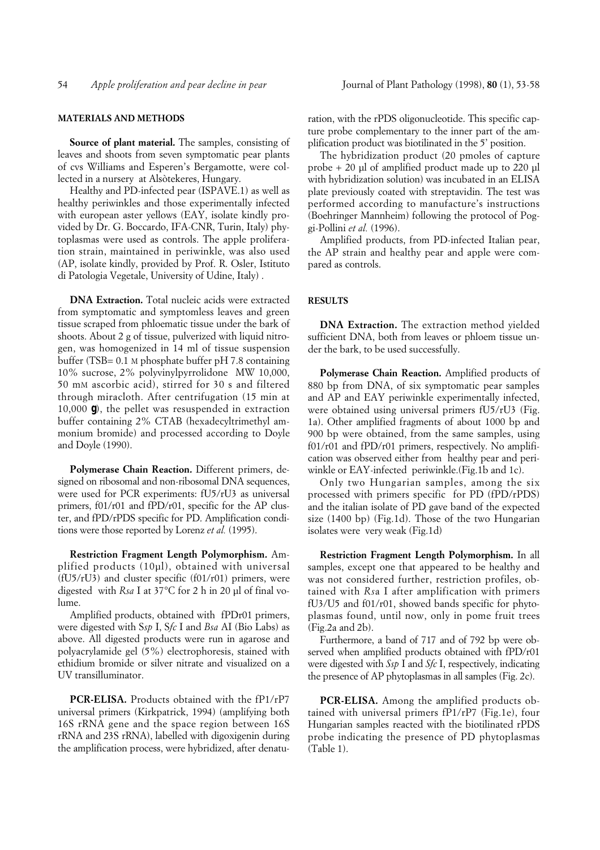#### **MATERIALS AND METHODS**

**Source of plant material.** The samples, consisting of leaves and shoots from seven symptomatic pear plants of cvs Williams and Esperen's Bergamotte, were collected in a nursery at Alsòtekeres, Hungary.

Healthy and PD-infected pear (ISPAVE.1) as well as healthy periwinkles and those experimentally infected with european aster yellows (EAY, isolate kindly provided by Dr. G. Boccardo, IFA-CNR, Turin, Italy) phytoplasmas were used as controls. The apple proliferation strain, maintained in periwinkle, was also used (AP, isolate kindly, provided by Prof. R. Osler, Istituto di Patologia Vegetale, University of Udine, Italy) .

**DNA Extraction.** Total nucleic acids were extracted from symptomatic and symptomless leaves and green tissue scraped from phloematic tissue under the bark of shoots. About 2 g of tissue, pulverized with liquid nitrogen, was homogenized in 14 ml of tissue suspension buffer (TSB= 0.1 M phosphate buffer pH 7.8 containing 10% sucrose, 2% polyvinylpyrrolidone MW 10,000, 50 mM ascorbic acid), stirred for 30 s and filtered through miracloth. After centrifugation (15 min at 10,000 *g*), the pellet was resuspended in extraction buffer containing 2% CTAB (hexadecyltrimethyl ammonium bromide) and processed according to Doyle and Doyle (1990).

**Polymerase Chain Reaction.** Different primers, designed on ribosomal and non-ribosomal DNA sequences, were used for PCR experiments: fU5/rU3 as universal primers, f01/r01 and fPD/r01, specific for the AP cluster, and fPD/rPDS specific for PD. Amplification conditions were those reported by Lorenz *et al.* (1995).

**Restriction Fragment Length Polymorphism.** Amplified products (10µl), obtained with universal (fU5/rU3) and cluster specific (f01/r01) primers, were digested with *Rsa* I at 37°C for 2 h in 20 µl of final volume.

Amplified products, obtained with fPDr01 primers, were digested with S*sp* I, S*fc* I and *Bsa* AI (Bio Labs) as above. All digested products were run in agarose and polyacrylamide gel (5%) electrophoresis, stained with ethidium bromide or silver nitrate and visualized on a UV transilluminator.

**PCR-ELISA.** Products obtained with the fP1/rP7 universal primers (Kirkpatrick, 1994) (amplifying both 16S rRNA gene and the space region between 16S rRNA and 23S rRNA), labelled with digoxigenin during the amplification process, were hybridized, after denaturation, with the rPDS oligonucleotide. This specific capture probe complementary to the inner part of the amplification product was biotilinated in the 5' position.

The hybridization product (20 pmoles of capture probe + 20 µl of amplified product made up to 220 µl with hybridization solution) was incubated in an ELISA plate previously coated with streptavidin. The test was performed according to manufacture's instructions (Boehringer Mannheim) following the protocol of Poggi-Pollini *et al.* (1996).

Amplified products, from PD-infected Italian pear, the AP strain and healthy pear and apple were compared as controls.

#### **RESULTS**

**DNA Extraction.** The extraction method yielded sufficient DNA, both from leaves or phloem tissue under the bark, to be used successfully.

**Polymerase Chain Reaction.** Amplified products of 880 bp from DNA, of six symptomatic pear samples and AP and EAY periwinkle experimentally infected, were obtained using universal primers fU5/rU3 (Fig. 1a). Other amplified fragments of about 1000 bp and 900 bp were obtained, from the same samples, using f01/r01 and fPD/r01 primers, respectively. No amplification was observed either from healthy pear and periwinkle or EAY-infected periwinkle.(Fig.1b and 1c).

Only two Hungarian samples, among the six processed with primers specific for PD (fPD/rPDS) and the italian isolate of PD gave band of the expected size (1400 bp) (Fig.1d). Those of the two Hungarian isolates were very weak (Fig.1d)

**Restriction Fragment Length Polymorphism.** In all samples, except one that appeared to be healthy and was not considered further, restriction profiles, obtained with *Rs*a I after amplification with primers fU3/U5 and f01/r01, showed bands specific for phytoplasmas found, until now, only in pome fruit trees (Fig.2a and 2b).

Furthermore, a band of 717 and of 792 bp were observed when amplified products obtained with fPD/r01 were digested with *Ssp* I and *Sfc* I, respectively, indicating the presence of AP phytoplasmas in all samples (Fig. 2c).

**PCR-ELISA.** Among the amplified products obtained with universal primers fP1/rP7 (Fig.1e), four Hungarian samples reacted with the biotilinated rPDS probe indicating the presence of PD phytoplasmas (Table 1).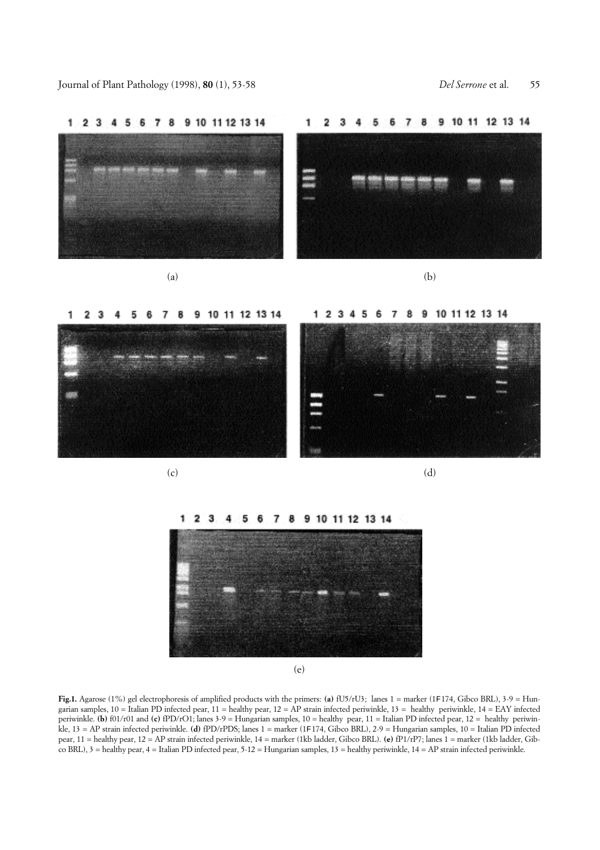

 $1234$  $\overline{I}$ 8 9 10 11 12 13 14 5 6





(e)

**Fig.1.** Agarose (1%) gel electrophoresis of amplified products with the primers: **(a)** fU5/rU3; lanes 1 = marker (1F174, Gibco BRL), 3-9 = Hungarian samples,  $10 =$  Italian PD infected pear,  $11 =$  healthy pear,  $12 =$  AP strain infected periwinkle,  $13 =$  healthy periwinkle,  $14 =$  EAY infected periwinkle. **(b)** f01/r01 and **(c)** fPD/rO1; lanes 3-9 = Hungarian samples, 10 = healthy pear, 11 = Italian PD infected pear, 12 = healthy periwinkle, 13 = AP strain infected periwinkle. **(d)** fPD/rPDS; lanes 1 = marker (1F174, Gibco BRL), 2-9 = Hungarian samples, 10 = Italian PD infected pear, 11 = healthy pear, 12 = AP strain infected periwinkle, 14 = marker (1kb ladder, Gibco BRL). **(e)** fP1/rP7; lanes 1 = marker (1kb ladder, Gibco BRL), 3 = healthy pear, 4 = Italian PD infected pear, 5-12 = Hungarian samples, 13 = healthy periwinkle, 14 = AP strain infected periwinkle.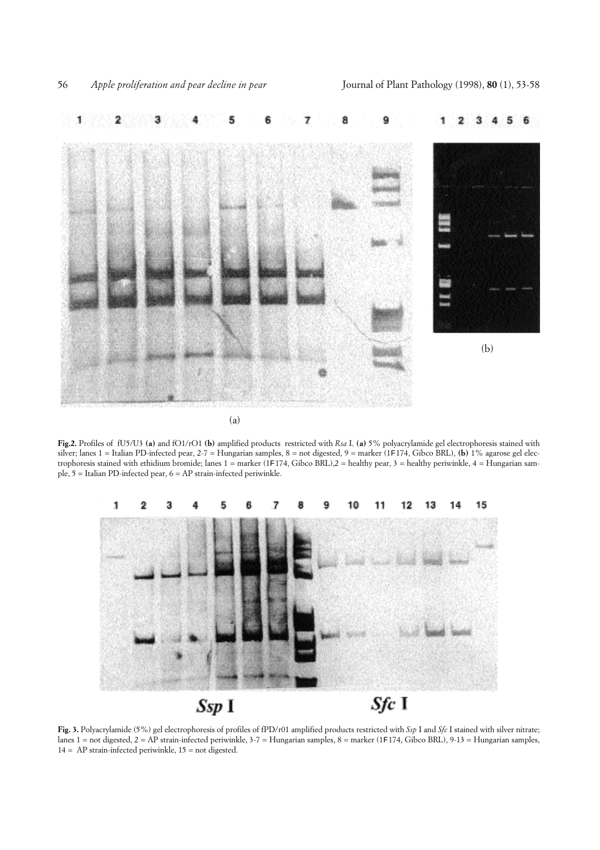

**Fig.2.** Profiles of fU5/U3 **(a)** and fO1/rO1 **(b)** amplified products restricted with *Rsa* I. **(a)** 5% polyacrylamide gel electrophoresis stained with silver; lanes 1 = Italian PD-infected pear, 2-7 = Hungarian samples, 8 = not digested, 9 = marker (1F174, Gibco BRL), **(b)** 1% agarose gel electrophoresis stained with ethidium bromide; lanes 1 = marker (1F174, Gibco BRL),2 = healthy pear, 3 = healthy periwinkle, 4 = Hungarian sample, 5 = Italian PD-infected pear, 6 = AP strain-infected periwinkle.



**Fig. 3.** Polyacrylamide (5%) gel electrophoresis of profiles of fPD/r01 amplified products restricted with *Ssp* I and *Sfc* I stained with silver nitrate; lanes 1 = not digested, 2 = AP strain-infected periwinkle, 3-7 = Hungarian samples, 8 = marker (1F174, Gibco BRL), 9-13 = Hungarian samples, 14 = AP strain-infected periwinkle, 15 = not digested.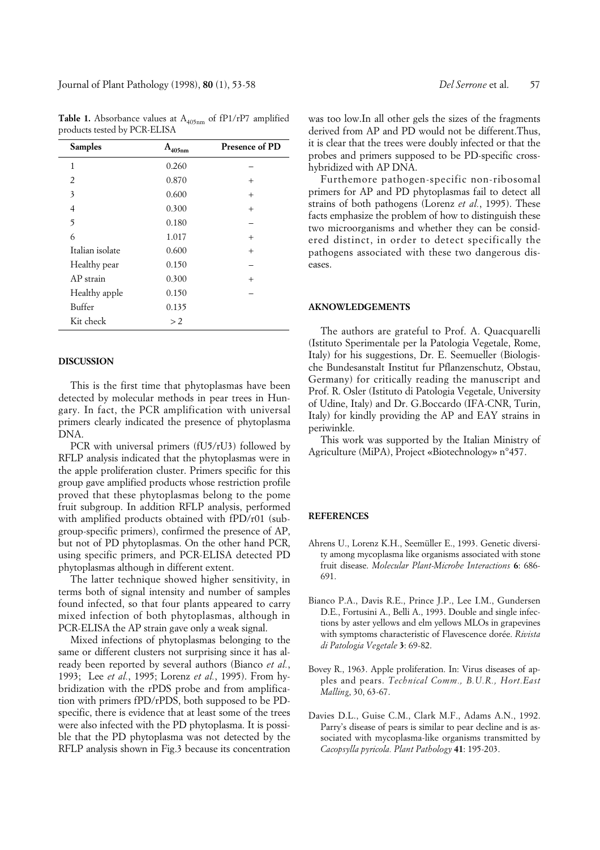Journal of Plant Pathology (1998), **80** (1), 53-58 *Del Serrone* et al. 57

| <b>Samples</b>  | A<br>405nm | <b>Presence of PD</b> |
|-----------------|------------|-----------------------|
| 1               | 0.260      |                       |
| $\overline{2}$  | 0.870      | $^{+}$                |
| 3               | 0.600      | $^{+}$                |
| $\overline{4}$  | 0.300      | $^{+}$                |
| 5               | 0.180      |                       |
| 6               | 1.017      | $^{+}$                |
| Italian isolate | 0.600      | $^{+}$                |
| Healthy pear    | 0.150      |                       |
| AP strain       | 0.300      | $^{+}$                |
| Healthy apple   | 0.150      |                       |
| Buffer          | 0.135      |                       |
| Kit check       | >2         |                       |

**Table 1.** Absorbance values at  $A_{405nm}$  of fP1/rP7 amplified products tested by PCR-ELISA

# **DISCUSSION**

This is the first time that phytoplasmas have been detected by molecular methods in pear trees in Hungary. In fact, the PCR amplification with universal primers clearly indicated the presence of phytoplasma DNA.

PCR with universal primers (fU5/rU3) followed by RFLP analysis indicated that the phytoplasmas were in the apple proliferation cluster. Primers specific for this group gave amplified products whose restriction profile proved that these phytoplasmas belong to the pome fruit subgroup. In addition RFLP analysis, performed with amplified products obtained with fPD/r01 (subgroup-specific primers), confirmed the presence of AP, but not of PD phytoplasmas. On the other hand PCR, using specific primers, and PCR-ELISA detected PD phytoplasmas although in different extent.

The latter technique showed higher sensitivity, in terms both of signal intensity and number of samples found infected, so that four plants appeared to carry mixed infection of both phytoplasmas, although in PCR-ELISA the AP strain gave only a weak signal.

Mixed infections of phytoplasmas belonging to the same or different clusters not surprising since it has already been reported by several authors (Bianco *et al.*, 1993; Lee *et al.*, 1995; Lorenz *et al.*, 1995). From hybridization with the rPDS probe and from amplification with primers fPD/rPDS, both supposed to be PDspecific, there is evidence that at least some of the trees were also infected with the PD phytoplasma. It is possible that the PD phytoplasma was not detected by the RFLP analysis shown in Fig.3 because its concentration

was too low.In all other gels the sizes of the fragments derived from AP and PD would not be different.Thus, it is clear that the trees were doubly infected or that the probes and primers supposed to be PD-specific crosshybridized with AP DNA.

Furthemore pathogen-specific non-ribosomal primers for AP and PD phytoplasmas fail to detect all strains of both pathogens (Lorenz *et al.*, 1995). These facts emphasize the problem of how to distinguish these two microorganisms and whether they can be considered distinct, in order to detect specifically the pathogens associated with these two dangerous diseases.

# **AKNOWLEDGEMENTS**

The authors are grateful to Prof. A. Quacquarelli (Istituto Sperimentale per la Patologia Vegetale, Rome, Italy) for his suggestions, Dr. E. Seemueller (Biologische Bundesanstalt Institut fur Pflanzenschutz, Obstau, Germany) for critically reading the manuscript and Prof. R. Osler (Istituto di Patologia Vegetale, University of Udine, Italy) and Dr. G.Boccardo (IFA-CNR, Turin, Italy) for kindly providing the AP and EAY strains in periwinkle.

This work was supported by the Italian Ministry of Agriculture (MiPA), Project «Biotechnology» n°457.

## **REFERENCES**

- Ahrens U., Lorenz K.H., Seemüller E., 1993. Genetic diversity among mycoplasma like organisms associated with stone fruit disease. *Molecular Plant-Microbe Interactions* **6**: 686- 691.
- Bianco P.A., Davis R.E., Prince J.P., Lee I.M., Gundersen D.E., Fortusini A., Belli A., 1993. Double and single infections by aster yellows and elm yellows MLOs in grapevines with symptoms characteristic of Flavescence dorée. *Rivista di Patologia Vegetale* **3**: 69-82.
- Bovey R., 1963. Apple proliferation. In: Virus diseases of apples and pears. *Technical Comm., B.U.R., Hort.East Malling*, 30, 63-67.
- Davies D.L., Guise C.M., Clark M.F., Adams A.N., 1992. Parry's disease of pears is similar to pear decline and is associated with mycoplasma-like organisms transmitted by *Cacopsylla pyricola. Plant Pathology* **41**: 195-203.